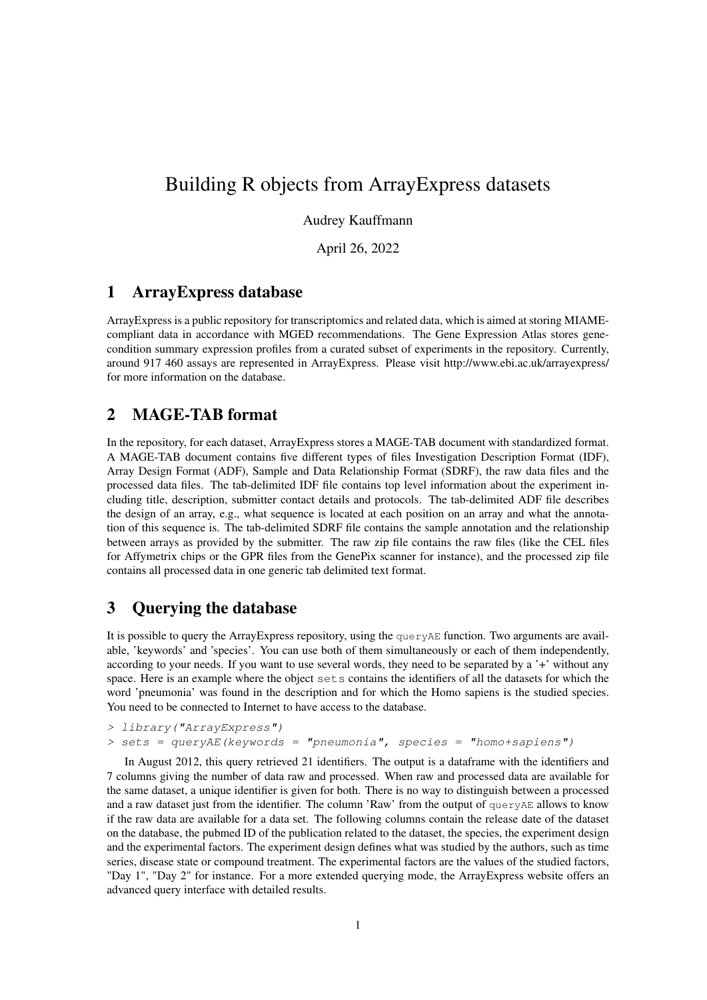# Building R objects from ArrayExpress datasets

### Audrey Kauffmann

April 26, 2022

### 1 ArrayExpress database

ArrayExpress is a public repository for transcriptomics and related data, which is aimed at storing MIAMEcompliant data in accordance with MGED recommendations. The Gene Expression Atlas stores genecondition summary expression profiles from a curated subset of experiments in the repository. Currently, around 917 460 assays are represented in ArrayExpress. Please visit http://www.ebi.ac.uk/arrayexpress/ for more information on the database.

## 2 MAGE-TAB format

In the repository, for each dataset, ArrayExpress stores a MAGE-TAB document with standardized format. A MAGE-TAB document contains five different types of files Investigation Description Format (IDF), Array Design Format (ADF), Sample and Data Relationship Format (SDRF), the raw data files and the processed data files. The tab-delimited IDF file contains top level information about the experiment including title, description, submitter contact details and protocols. The tab-delimited ADF file describes the design of an array, e.g., what sequence is located at each position on an array and what the annotation of this sequence is. The tab-delimited SDRF file contains the sample annotation and the relationship between arrays as provided by the submitter. The raw zip file contains the raw files (like the CEL files for Affymetrix chips or the GPR files from the GenePix scanner for instance), and the processed zip file contains all processed data in one generic tab delimited text format.

## 3 Querying the database

It is possible to query the ArrayExpress repository, using the queryAE function. Two arguments are available, 'keywords' and 'species'. You can use both of them simultaneously or each of them independently, according to your needs. If you want to use several words, they need to be separated by a '+' without any space. Here is an example where the object sets contains the identifiers of all the datasets for which the word 'pneumonia' was found in the description and for which the Homo sapiens is the studied species. You need to be connected to Internet to have access to the database.

```
> library("ArrayExpress")
> sets = queryAE(keywords = "pneumonia", species = "homot sapiens")
```
In August 2012, this query retrieved 21 identifiers. The output is a dataframe with the identifiers and 7 columns giving the number of data raw and processed. When raw and processed data are available for the same dataset, a unique identifier is given for both. There is no way to distinguish between a processed and a raw dataset just from the identifier. The column 'Raw' from the output of  $q_{\text{ueryAE}}$  allows to know if the raw data are available for a data set. The following columns contain the release date of the dataset on the database, the pubmed ID of the publication related to the dataset, the species, the experiment design and the experimental factors. The experiment design defines what was studied by the authors, such as time series, disease state or compound treatment. The experimental factors are the values of the studied factors, "Day 1", "Day 2" for instance. For a more extended querying mode, the ArrayExpress website offers an advanced query interface with detailed results.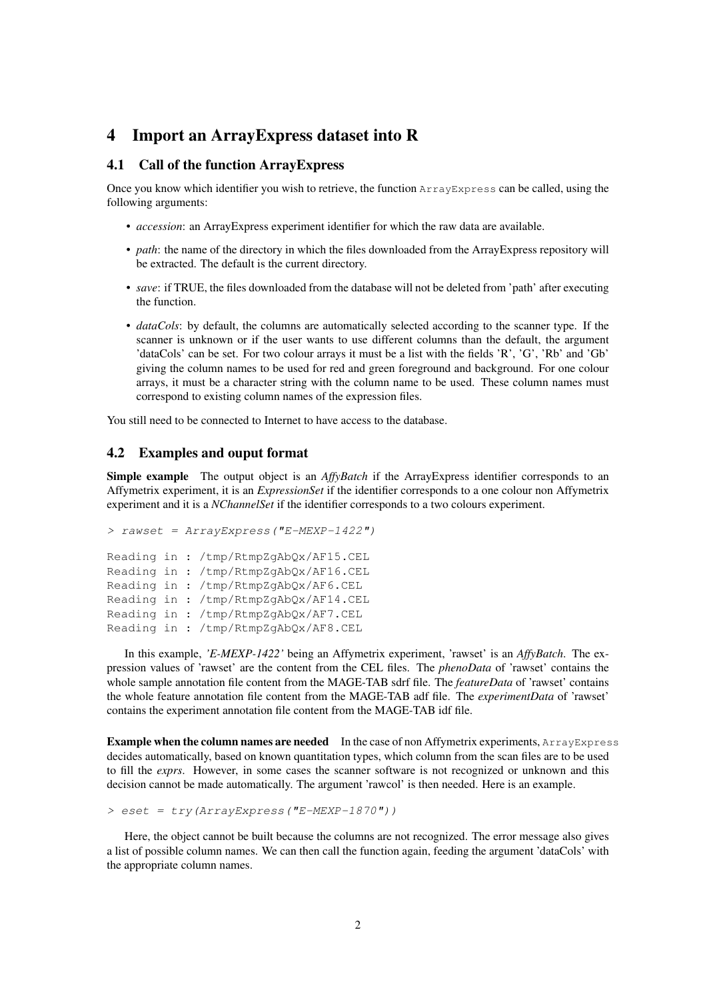### 4 Import an ArrayExpress dataset into R

### 4.1 Call of the function ArrayExpress

Once you know which identifier you wish to retrieve, the function ArrayExpress can be called, using the following arguments:

- *accession*: an ArrayExpress experiment identifier for which the raw data are available.
- *path*: the name of the directory in which the files downloaded from the ArrayExpress repository will be extracted. The default is the current directory.
- *save*: if TRUE, the files downloaded from the database will not be deleted from 'path' after executing the function.
- *dataCols*: by default, the columns are automatically selected according to the scanner type. If the scanner is unknown or if the user wants to use different columns than the default, the argument 'dataCols' can be set. For two colour arrays it must be a list with the fields 'R', 'G', 'Rb' and 'Gb' giving the column names to be used for red and green foreground and background. For one colour arrays, it must be a character string with the column name to be used. These column names must correspond to existing column names of the expression files.

You still need to be connected to Internet to have access to the database.

#### 4.2 Examples and ouput format

Simple example The output object is an *AffyBatch* if the ArrayExpress identifier corresponds to an Affymetrix experiment, it is an *ExpressionSet* if the identifier corresponds to a one colour non Affymetrix experiment and it is a *NChannelSet* if the identifier corresponds to a two colours experiment.

```
> rawset = ArrayExpress("E-MEXP-1422")
Reading in : /tmp/RtmpZgAbQx/AF15.CEL
Reading in : /tmp/RtmpZgAbQx/AF16.CEL
Reading in : /tmp/RtmpZgAbQx/AF6.CEL
Reading in : /tmp/RtmpZgAbQx/AF14.CEL
Reading in : /tmp/RtmpZgAbQx/AF7.CEL
Reading in : /tmp/RtmpZgAbQx/AF8.CEL
```
In this example, *'E-MEXP-1422'* being an Affymetrix experiment, 'rawset' is an *AffyBatch*. The expression values of 'rawset' are the content from the CEL files. The *phenoData* of 'rawset' contains the whole sample annotation file content from the MAGE-TAB sdrf file. The *featureData* of 'rawset' contains the whole feature annotation file content from the MAGE-TAB adf file. The *experimentData* of 'rawset' contains the experiment annotation file content from the MAGE-TAB idf file.

Example when the column names are needed In the case of non Affymetrix experiments, ArrayExpress decides automatically, based on known quantitation types, which column from the scan files are to be used to fill the *exprs*. However, in some cases the scanner software is not recognized or unknown and this decision cannot be made automatically. The argument 'rawcol' is then needed. Here is an example.

```
> eset = try(ArrayExpress("E-MEXP-1870"))
```
Here, the object cannot be built because the columns are not recognized. The error message also gives a list of possible column names. We can then call the function again, feeding the argument 'dataCols' with the appropriate column names.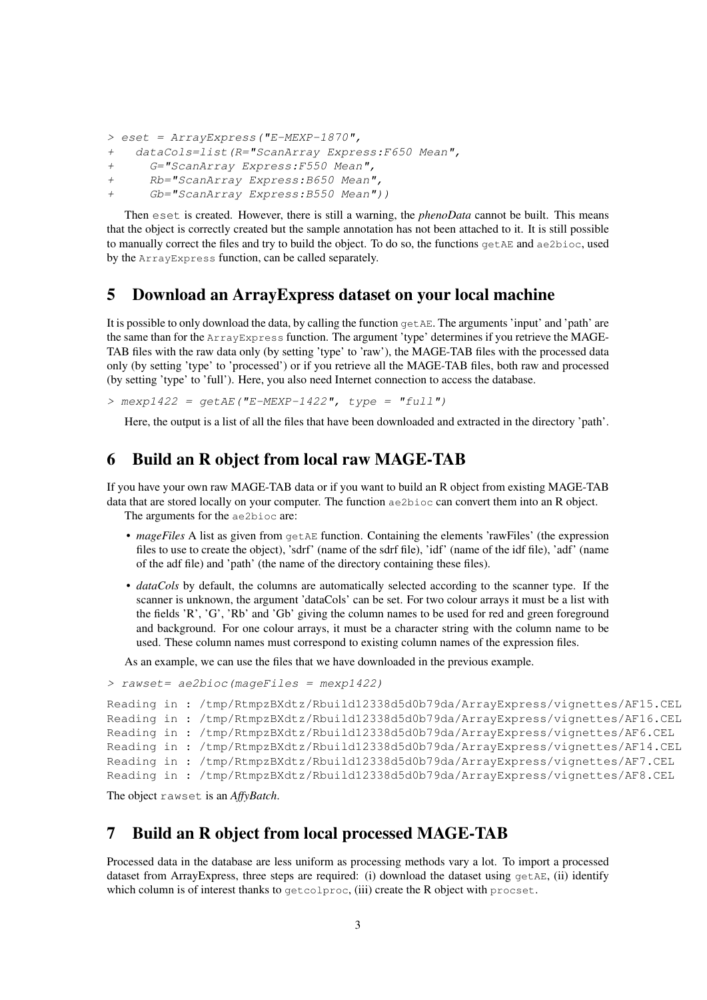```
> eset = ArrayExpress("E-MEXP-1870",
```

```
+ dataCols=list(R="ScanArray Express:F650 Mean",
```

```
+ G="ScanArray Express:F550 Mean",
```

```
+ Rb="ScanArray Express:B650 Mean",
```

```
+ Gb="ScanArray Express:B550 Mean"))
```
Then eset is created. However, there is still a warning, the *phenoData* cannot be built. This means that the object is correctly created but the sample annotation has not been attached to it. It is still possible to manually correct the files and try to build the object. To do so, the functions  $\sigma$ etAE and  $\alpha$ e2bioc, used by the ArrayExpress function, can be called separately.

### 5 Download an ArrayExpress dataset on your local machine

It is possible to only download the data, by calling the function  $\sigma$ etAE. The arguments 'input' and 'path' are the same than for the ArrayExpress function. The argument 'type' determines if you retrieve the MAGE-TAB files with the raw data only (by setting 'type' to 'raw'), the MAGE-TAB files with the processed data only (by setting 'type' to 'processed') or if you retrieve all the MAGE-TAB files, both raw and processed (by setting 'type' to 'full'). Here, you also need Internet connection to access the database.

 $>$  mexp1422 = getAE("E-MEXP-1422", type = "full")

Here, the output is a list of all the files that have been downloaded and extracted in the directory 'path'.

### 6 Build an R object from local raw MAGE-TAB

If you have your own raw MAGE-TAB data or if you want to build an R object from existing MAGE-TAB data that are stored locally on your computer. The function ae2bioc can convert them into an R object.

The arguments for the ae2bioc are:

- *mageFiles* A list as given from getAE function. Containing the elements 'rawFiles' (the expression files to use to create the object), 'sdrf' (name of the sdrf file), 'idf' (name of the idf file), 'adf' (name of the adf file) and 'path' (the name of the directory containing these files).
- *dataCols* by default, the columns are automatically selected according to the scanner type. If the scanner is unknown, the argument 'dataCols' can be set. For two colour arrays it must be a list with the fields 'R', 'G', 'Rb' and 'Gb' giving the column names to be used for red and green foreground and background. For one colour arrays, it must be a character string with the column name to be used. These column names must correspond to existing column names of the expression files.

As an example, we can use the files that we have downloaded in the previous example.

```
> rawset= ae2bioc(mageFiles = mexp1422)
```

```
Reading in : /tmp/RtmpzBXdtz/Rbuild12338d5d0b79da/ArrayExpress/vignettes/AF15.CEL
Reading in : /tmp/RtmpzBXdtz/Rbuild12338d5d0b79da/ArrayExpress/vignettes/AF16.CEL
Reading in : /tmp/RtmpzBXdtz/Rbuild12338d5d0b79da/ArrayExpress/vignettes/AF6.CEL
Reading in : /tmp/RtmpzBXdtz/Rbuild12338d5d0b79da/ArrayExpress/vignettes/AF14.CEL
Reading in : /tmp/RtmpzBXdtz/Rbuild12338d5d0b79da/ArrayExpress/vignettes/AF7.CEL
Reading in : /tmp/RtmpzBXdtz/Rbuild12338d5d0b79da/ArrayExpress/vignettes/AF8.CEL
```
The object rawset is an *AffyBatch*.

## 7 Build an R object from local processed MAGE-TAB

Processed data in the database are less uniform as processing methods vary a lot. To import a processed dataset from ArrayExpress, three steps are required: (i) download the dataset using  $getAE$ , (ii) identify which column is of interest thanks to getcolproc, (iii) create the R object with procset.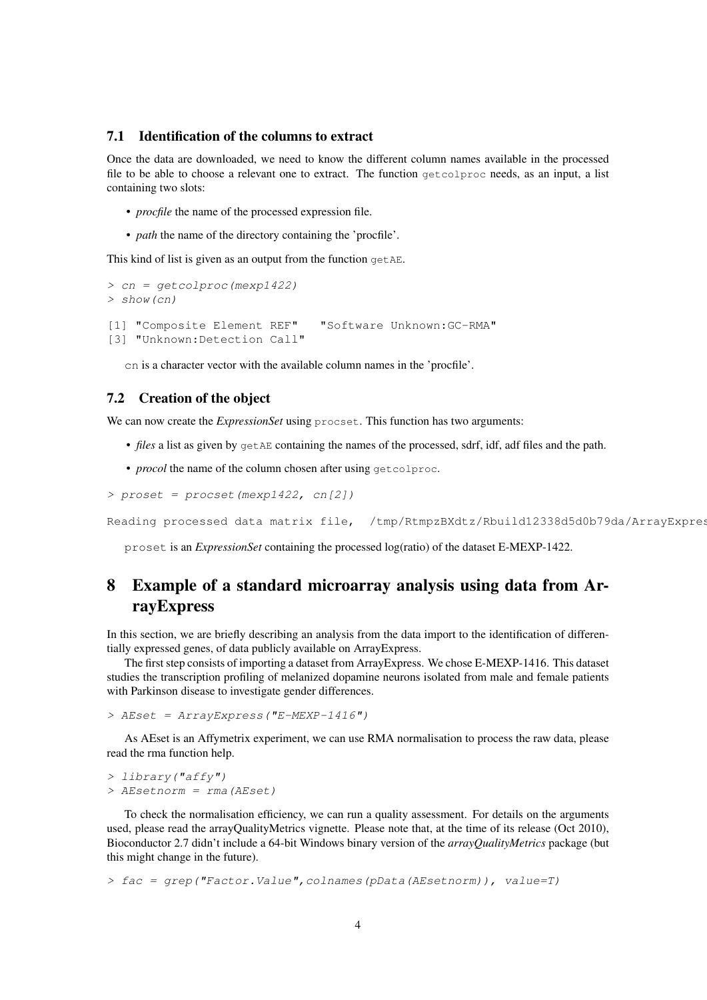#### 7.1 Identification of the columns to extract

Once the data are downloaded, we need to know the different column names available in the processed file to be able to choose a relevant one to extract. The function getcolproc needs, as an input, a list containing two slots:

- *procfile* the name of the processed expression file.
- *path* the name of the directory containing the 'procfile'.

This kind of list is given as an output from the function getAE.

```
> cn = getcolproc(mexp1422)
> show(cn)
[1] "Composite Element REF" "Software Unknown:GC-RMA"
[3] "Unknown:Detection Call"
```
cn is a character vector with the available column names in the 'procfile'.

#### 7.2 Creation of the object

We can now create the *ExpressionSet* using procset. This function has two arguments:

- *files* a list as given by getAE containing the names of the processed, sdrf, idf, adf files and the path.
- *procol* the name of the column chosen after using getcolproc.

```
> proset = procset(mexp1422, cn[2])
```
Reading processed data matrix file, /tmp/RtmpzBXdtz/Rbuild12338d5d0b79da/ArrayExpres

proset is an *ExpressionSet* containing the processed log(ratio) of the dataset E-MEXP-1422.

# 8 Example of a standard microarray analysis using data from ArrayExpress

In this section, we are briefly describing an analysis from the data import to the identification of differentially expressed genes, of data publicly available on ArrayExpress.

The first step consists of importing a dataset from ArrayExpress. We chose E-MEXP-1416. This dataset studies the transcription profiling of melanized dopamine neurons isolated from male and female patients with Parkinson disease to investigate gender differences.

> AEset = ArrayExpress("E-MEXP-1416")

As AEset is an Affymetrix experiment, we can use RMA normalisation to process the raw data, please read the rma function help.

```
> library("affy")
> AEsetnorm = rma(AEset)
```
To check the normalisation efficiency, we can run a quality assessment. For details on the arguments used, please read the arrayQualityMetrics vignette. Please note that, at the time of its release (Oct 2010), Bioconductor 2.7 didn't include a 64-bit Windows binary version of the *arrayQualityMetrics* package (but this might change in the future).

> fac = grep("Factor.Value",colnames(pData(AEsetnorm)), value=T)